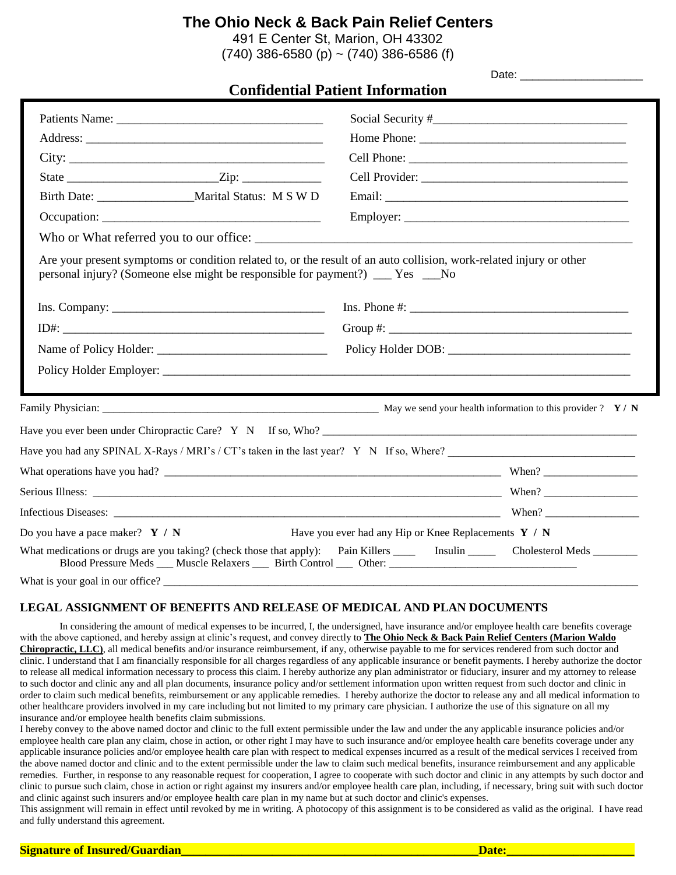491 E Center St, Marion, OH 43302  $(740)$  386-6580 (p) ~  $(740)$  386-6586 (f)

|                                                                                                                                                                                                        | <b>Confidential Patient Information</b>                                                                                    |
|--------------------------------------------------------------------------------------------------------------------------------------------------------------------------------------------------------|----------------------------------------------------------------------------------------------------------------------------|
|                                                                                                                                                                                                        |                                                                                                                            |
|                                                                                                                                                                                                        |                                                                                                                            |
|                                                                                                                                                                                                        |                                                                                                                            |
|                                                                                                                                                                                                        |                                                                                                                            |
| Birth Date: ______________________Marital Status: M S W D                                                                                                                                              |                                                                                                                            |
|                                                                                                                                                                                                        |                                                                                                                            |
| Who or What referred you to our office:                                                                                                                                                                |                                                                                                                            |
| Are your present symptoms or condition related to, or the result of an auto collision, work-related injury or other<br>personal injury? (Someone else might be responsible for payment?) ___ Yes ___No |                                                                                                                            |
| $Ins. Company: ____________$                                                                                                                                                                           | $Ins. Phone #: ____________$                                                                                               |
|                                                                                                                                                                                                        |                                                                                                                            |
|                                                                                                                                                                                                        |                                                                                                                            |
|                                                                                                                                                                                                        |                                                                                                                            |
|                                                                                                                                                                                                        |                                                                                                                            |
| Have you ever been under Chiropractic Care? $Y \times N$ If so, Who?                                                                                                                                   |                                                                                                                            |
| Have you had any SPINAL X-Rays / MRI's / CT's taken in the last year? Y N If so, Where?                                                                                                                |                                                                                                                            |
|                                                                                                                                                                                                        |                                                                                                                            |
|                                                                                                                                                                                                        |                                                                                                                            |
|                                                                                                                                                                                                        |                                                                                                                            |
| Do you have a pace maker? $Y / N$                                                                                                                                                                      | Have you ever had any Hip or Knee Replacements Y / N                                                                       |
|                                                                                                                                                                                                        | What medications or drugs are you taking? (check those that apply): Pain Killers _______ Insulin ________ Cholesterol Meds |
| What is your goal in our office?                                                                                                                                                                       |                                                                                                                            |

#### **LEGAL ASSIGNMENT OF BENEFITS AND RELEASE OF MEDICAL AND PLAN DOCUMENTS**

In considering the amount of medical expenses to be incurred, I, the undersigned, have insurance and/or employee health care benefits coverage with the above captioned, and hereby assign at clinic's request, and convey directly to **The Ohio Neck & Back Pain Relief Centers (Marion Waldo Chiropractic, LLC)**, all medical benefits and/or insurance reimbursement, if any, otherwise payable to me for services rendered from such doctor and clinic. I understand that I am financially responsible for all charges regardless of any applicable insurance or benefit payments. I hereby authorize the doctor to release all medical information necessary to process this claim. I hereby authorize any plan administrator or fiduciary, insurer and my attorney to release to such doctor and clinic any and all plan documents, insurance policy and/or settlement information upon written request from such doctor and clinic in order to claim such medical benefits, reimbursement or any applicable remedies. I hereby authorize the doctor to release any and all medical information to other healthcare providers involved in my care including but not limited to my primary care physician. I authorize the use of this signature on all my insurance and/or employee health benefits claim submissions.

I hereby convey to the above named doctor and clinic to the full extent permissible under the law and under the any applicable insurance policies and/or employee health care plan any claim, chose in action, or other right I may have to such insurance and/or employee health care benefits coverage under any applicable insurance policies and/or employee health care plan with respect to medical expenses incurred as a result of the medical services I received from the above named doctor and clinic and to the extent permissible under the law to claim such medical benefits, insurance reimbursement and any applicable remedies. Further, in response to any reasonable request for cooperation, I agree to cooperate with such doctor and clinic in any attempts by such doctor and clinic to pursue such claim, chose in action or right against my insurers and/or employee health care plan, including, if necessary, bring suit with such doctor and clinic against such insurers and/or employee health care plan in my name but at such doctor and clinic's expenses.

This assignment will remain in effect until revoked by me in writing. A photocopy of this assignment is to be considered as valid as the original. I have read and fully understand this agreement.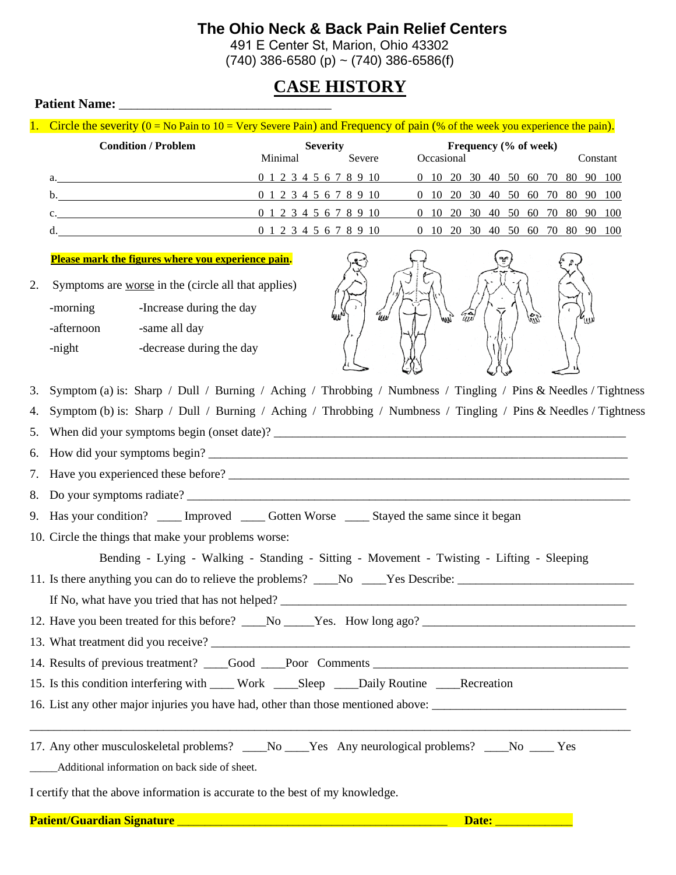491 E Center St, Marion, Ohio 43302  $(740)$  386-6580 (p) ~  $(740)$  386-6586(f)

## **CASE HISTORY**

#### **Patient Name:** \_\_\_\_\_\_\_\_\_\_\_\_\_\_\_\_\_\_\_\_\_\_\_\_\_\_\_\_\_\_\_\_\_\_\_

1. Circle the severity  $(0 = No$  Pain to  $10 = V$ ery Severe Pain) and Frequency of pain  $%$  of the week you experience the pain).

|    | <b>Condition / Problem</b> | Frequency (% of week)<br><b>Severity</b> |                                                         |                                  |  |  |          |  |  |  |
|----|----------------------------|------------------------------------------|---------------------------------------------------------|----------------------------------|--|--|----------|--|--|--|
|    |                            | Minimal                                  | Severe                                                  | Occasional                       |  |  | Constant |  |  |  |
|    | a.                         |                                          | 0 1 2 3 4 5 6 7 8 9 10 0 10 20 30 40 50 60 70 80 90 100 |                                  |  |  |          |  |  |  |
| b. |                            | 0 1 2 3 4 5 6 7 8 9 10                   |                                                         | 0 10 20 30 40 50 60 70 80 90 100 |  |  |          |  |  |  |
|    | $\mathbf{C}$ .             | 0 1 2 3 4 5 6 7 8 9 10                   |                                                         | 0 10 20 30 40 50 60 70 80 90 100 |  |  |          |  |  |  |
| d. |                            | 0 1 2 3 4 5 6 7 8 9 10                   |                                                         | 0 10 20 30 40 50 60 70 80 90 100 |  |  |          |  |  |  |

#### **Please mark the figures where you experience pain.**

2. Symptoms are worse in the (circle all that applies)

| -morning   | -Increase during the day |
|------------|--------------------------|
| -afternoon | -same all day            |
| -night     | -decrease during the day |



- 3. Symptom (a) is: Sharp / Dull / Burning / Aching / Throbbing / Numbness / Tingling / Pins & Needles / Tightness
- 4. Symptom (b) is: Sharp / Dull / Burning / Aching / Throbbing / Numbness / Tingling / Pins & Needles / Tightness
- 5. When did your symptoms begin (onset date)?
- 6. How did your symptoms begin? \_\_\_\_\_\_\_\_\_\_\_\_\_\_\_\_\_\_\_\_\_\_\_\_\_\_\_\_\_\_\_\_\_\_\_\_\_\_\_\_\_\_\_\_\_\_\_\_\_\_\_\_\_\_\_\_\_\_\_\_\_\_\_\_\_\_\_\_\_
- 7. Have you experienced these before? \_\_\_\_\_\_\_\_\_\_\_\_\_\_\_\_\_\_\_\_\_\_\_\_\_\_\_\_\_\_\_\_\_\_\_\_\_\_\_\_\_\_\_\_\_\_\_\_\_\_\_\_\_\_\_\_\_\_\_\_\_\_\_\_\_\_
- 8. Do your symptoms radiate?
- 9. Has your condition? \_\_\_\_\_ Improved \_\_\_\_\_ Gotten Worse \_\_\_\_\_ Stayed the same since it began
- 10. Circle the things that make your problems worse:
	- Bending Lying Walking Standing Sitting Movement Twisting Lifting Sleeping
- 11. Is there anything you can do to relieve the problems? \_\_\_\_No \_\_\_\_Yes Describe: \_\_\_\_\_\_\_\_\_\_\_\_\_\_\_\_\_\_\_\_\_\_\_\_\_\_\_\_\_
- If No, what have you tried that has not helped?
- 12. Have you been treated for this before? \_\_\_\_No \_\_\_\_\_Yes. How long ago? \_\_\_\_\_\_\_
- 13. What treatment did you receive?
- 14. Results of previous treatment? \_\_\_\_Good \_\_\_\_Poor Comments \_\_\_\_\_\_\_\_\_\_\_\_\_\_\_\_\_\_
- 15. Is this condition interfering with \_\_\_\_ Work \_\_\_\_Sleep \_\_\_\_Daily Routine \_\_\_\_Recreation
- 16. List any other major injuries you have had, other than those mentioned above:
- 17. Any other musculoskeletal problems? \_\_\_No \_\_\_Yes Any neurological problems? \_\_\_No \_\_\_ Yes Additional information on back side of sheet.

\_\_\_\_\_\_\_\_\_\_\_\_\_\_\_\_\_\_\_\_\_\_\_\_\_\_\_\_\_\_\_\_\_\_\_\_\_\_\_\_\_\_\_\_\_\_\_\_\_\_\_\_\_\_\_\_\_\_\_\_\_\_\_\_\_\_\_\_\_\_\_\_\_\_\_\_\_\_\_\_\_\_\_\_\_\_\_\_\_\_\_\_\_\_\_\_\_\_\_

I certify that the above information is accurate to the best of my knowledge.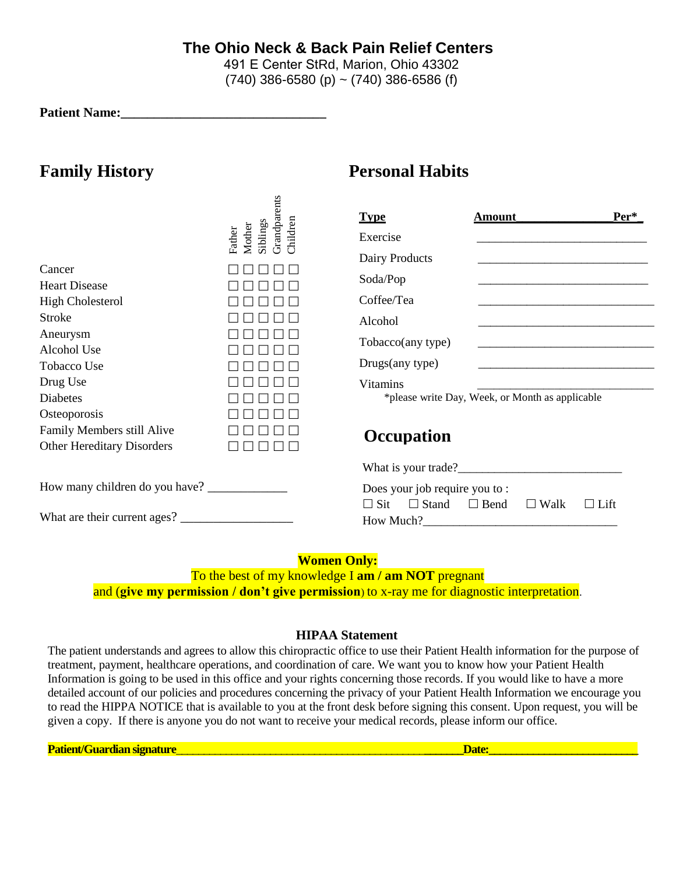491 E Center StRd, Marion, Ohio 43302  $(740)$  386-6580 (p) ~  $(740)$  386-6586 (f)

**Patient Name:** 

## **Family History Personal Habits**

| Cancer                            | Grandparents<br>Children<br>Siblings<br>Mother<br>Father | <b>Type</b><br>Exercise<br>Dairy Products                                            | Amount<br><u> 1989 - Johann Barbara, martin da basar da basar da basar da basar da basar da basar da basar da basar</u> | $Per^*$ |  |  |  |
|-----------------------------------|----------------------------------------------------------|--------------------------------------------------------------------------------------|-------------------------------------------------------------------------------------------------------------------------|---------|--|--|--|
| <b>Heart Disease</b>              |                                                          | Soda/Pop                                                                             |                                                                                                                         |         |  |  |  |
| <b>High Cholesterol</b>           |                                                          | Coffee/Tea                                                                           |                                                                                                                         |         |  |  |  |
| <b>Stroke</b>                     |                                                          | Alcohol                                                                              |                                                                                                                         |         |  |  |  |
| Aneurysm                          |                                                          | Tobacco(any type)                                                                    |                                                                                                                         |         |  |  |  |
| Alcohol Use                       |                                                          |                                                                                      |                                                                                                                         |         |  |  |  |
| <b>Tobacco Use</b>                |                                                          | Drugs(any type)                                                                      |                                                                                                                         |         |  |  |  |
| Drug Use                          |                                                          | <b>Vitamins</b>                                                                      |                                                                                                                         |         |  |  |  |
| <b>Diabetes</b>                   |                                                          |                                                                                      | *please write Day, Week, or Month as applicable                                                                         |         |  |  |  |
| Osteoporosis                      |                                                          |                                                                                      |                                                                                                                         |         |  |  |  |
| Family Members still Alive        |                                                          | <b>Occupation</b>                                                                    |                                                                                                                         |         |  |  |  |
| <b>Other Hereditary Disorders</b> |                                                          |                                                                                      |                                                                                                                         |         |  |  |  |
|                                   |                                                          |                                                                                      |                                                                                                                         |         |  |  |  |
|                                   |                                                          | Does your job require you to:                                                        |                                                                                                                         |         |  |  |  |
| What are their current ages?      |                                                          | $\Box$ Stand<br>$\Box$ Walk<br>$\Box$ Sit<br>$\Box$ Bend<br>$\Box$ Lift<br>How Much? |                                                                                                                         |         |  |  |  |

### **Women Only:**

To the best of my knowledge I **am / am NOT** pregnant and (**give my permission / don't give permission**) to x-ray me for diagnostic interpretation.

#### **HIPAA Statement**

The patient understands and agrees to allow this chiropractic office to use their Patient Health information for the purpose of treatment, payment, healthcare operations, and coordination of care. We want you to know how your Patient Health Information is going to be used in this office and your rights concerning those records. If you would like to have a more detailed account of our policies and procedures concerning the privacy of your Patient Health Information we encourage you to read the HIPPA NOTICE that is available to you at the front desk before signing this consent. Upon request, you will be given a copy. If there is anyone you do not want to receive your medical records, please inform our office.

**Patient/Guardian signature**\_\_\_\_\_\_\_\_\_\_\_\_\_\_\_\_\_\_\_\_\_\_\_\_\_\_\_\_\_\_\_\_\_\_\_\_\_\_\_\_\_\_\_\_\_**\_\_\_\_\_\_\_Date:\_\_\_\_\_\_\_\_\_\_\_\_\_\_\_\_\_\_\_\_\_\_\_\_\_\_\_**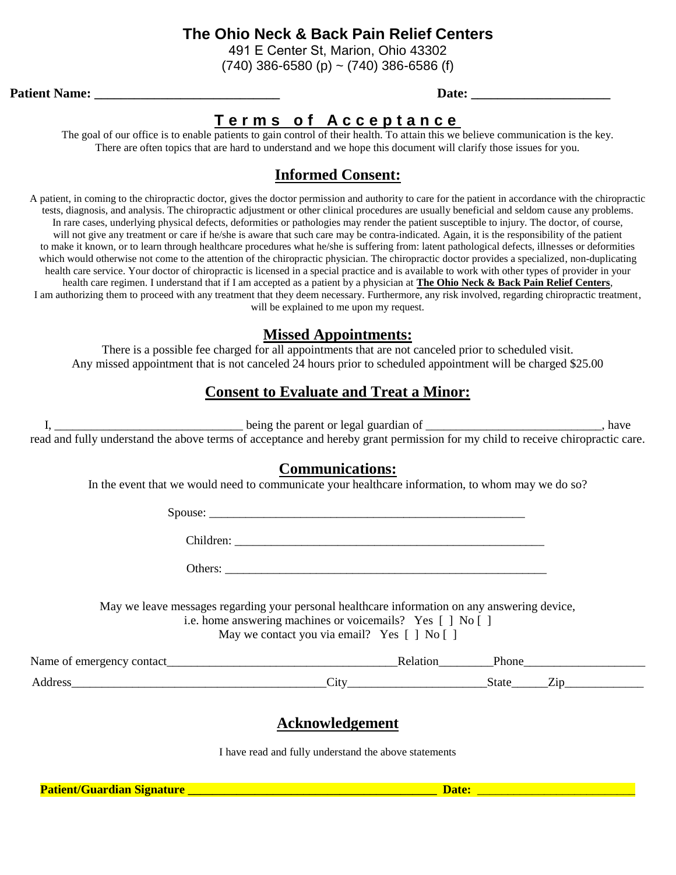491 E Center St, Marion, Ohio 43302

 $(740)$  386-6580 (p) ~  $(740)$  386-6586 (f)

#### **Patient Name:**  $\qquad \qquad$  **Date:**  $\qquad \qquad$

## **T e r m s o f A c c e p t a n c e**

The goal of our office is to enable patients to gain control of their health. To attain this we believe communication is the key. There are often topics that are hard to understand and we hope this document will clarify those issues for you.

## **Informed Consent:**

A patient, in coming to the chiropractic doctor, gives the doctor permission and authority to care for the patient in accordance with the chiropractic tests, diagnosis, and analysis. The chiropractic adjustment or other clinical procedures are usually beneficial and seldom cause any problems. In rare cases, underlying physical defects, deformities or pathologies may render the patient susceptible to injury. The doctor, of course, will not give any treatment or care if he/she is aware that such care may be contra-indicated. Again, it is the responsibility of the patient to make it known, or to learn through healthcare procedures what he/she is suffering from: latent pathological defects, illnesses or deformities which would otherwise not come to the attention of the chiropractic physician. The chiropractic doctor provides a specialized, non-duplicating health care service. Your doctor of chiropractic is licensed in a special practice and is available to work with other types of provider in your health care regimen. I understand that if I am accepted as a patient by a physician at **The Ohio Neck & Back Pain Relief Centers**, I am authorizing them to proceed with any treatment that they deem necessary. Furthermore, any risk involved, regarding chiropractic treatment, will be explained to me upon my request.

### **Missed Appointments:**

There is a possible fee charged for all appointments that are not canceled prior to scheduled visit. Any missed appointment that is not canceled 24 hours prior to scheduled appointment will be charged \$25.00

## **Consent to Evaluate and Treat a Minor:**

I, \_\_\_\_\_\_\_\_\_\_\_\_\_\_\_\_\_\_\_\_\_\_\_\_\_\_\_\_\_\_\_ being the parent or legal guardian of \_\_\_\_\_\_\_\_\_\_\_\_\_\_\_\_\_\_\_\_\_\_\_\_\_\_\_\_\_, have read and fully understand the above terms of acceptance and hereby grant permission for my child to receive chiropractic care.

### **Communications:**

In the event that we would need to communicate your healthcare information, to whom may we do so?

Spouse:

Children: \_\_\_\_\_\_\_\_\_\_\_\_\_\_\_\_\_\_\_\_\_\_\_\_\_\_\_\_\_\_\_\_\_\_\_\_\_\_\_\_\_\_\_\_\_\_\_\_\_\_\_

Others:

May we leave messages regarding your personal healthcare information on any answering device, i.e. home answering machines or voicemails? Yes [ ] No [ ]

May we contact you via email? Yes  $\lceil \cdot \rceil$  No  $\lceil \cdot \rceil$ 

Name of emergency contact and the set of emergency contact and the set of emergency contact and  $\blacksquare$ Address City City State Zip

## **Acknowledgement**

I have read and fully understand the above statements

**Patient/Guardian Signature \_\_\_\_\_\_\_\_\_\_\_\_\_\_\_\_\_\_\_\_\_\_\_\_\_\_\_\_\_\_\_\_\_\_\_\_\_\_\_\_\_ Date:** \_\_\_\_\_\_\_\_\_\_\_\_\_\_\_\_\_\_\_\_\_\_\_\_\_\_